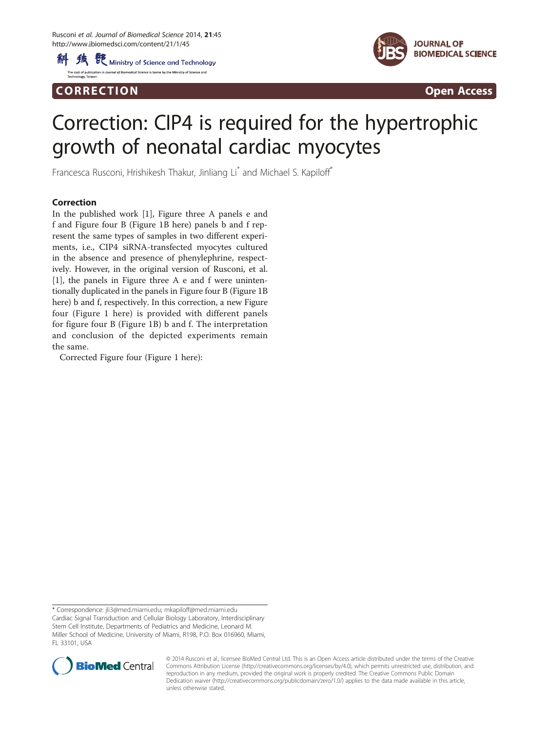科 线 <sup>骰</sup> Ministry of Science and Technology l of Biomedical Science is borne by the Ministry of Science and

Corresponding to the corresponding to the corresponding to the corresponding to the corresponding to the corresponding to the corresponding to the corresponding to the corresponding to the corresponding to the correspondin



## Correction: CIP4 is required for the hypertrophic growth of neonatal cardiac myocytes

Francesca Rusconi, Hrishikesh Thakur, Jinliang Li<sup>\*</sup> and Michael S. Kapiloff<sup>\*</sup>

In the published work [\[1](#page-1-0)], Figure three A panels e and f and Figure four B (Figure [1B](#page-1-0) here) panels b and f represent the same types of samples in two different experiments, i.e., CIP4 siRNA-transfected myocytes cultured in the absence and presence of phenylephrine, respectively. However, in the original version of Rusconi, et al. [[1\]](#page-1-0), the panels in Figure three A e and f were unintentionally duplicated in the panels in Figure four B (Figure [1B](#page-1-0) here) b and f, respectively. In this correction, a new Figure four (Figure [1](#page-1-0) here) is provided with different panels for figure four B (Figure [1](#page-1-0)B) b and f. The interpretation and conclusion of the depicted experiments remain the same.

Corrected Figure four (Figure [1](#page-1-0) here):

\* Correspondence: [jli3@med.miami.edu;](mailto:jli3@med.miami.edu) [mkapiloff@med.miami.edu](mailto:mkapiloff@med.miami.edu) Cardiac Signal Transduction and Cellular Biology Laboratory, Interdisciplinary Stem Cell Institute, Departments of Pediatrics and Medicine, Leonard M. Miller School of Medicine, University of Miami, R198, P.O. Box 016960, Miami, FL 33101, USA



© 2014 Rusconi et al.; licensee BioMed Central Ltd. This is an Open Access article distributed under the terms of the Creative Commons Attribution License [\(http://creativecommons.org/licenses/by/4.0\)](http://creativecommons.org/licenses/by/4.0), which permits unrestricted use, distribution, and reproduction in any medium, provided the original work is properly credited. The Creative Commons Public Domain Dedication waiver [\(http://creativecommons.org/publicdomain/zero/1.0/](http://creativecommons.org/publicdomain/zero/1.0/)) applies to the data made available in this article, unless otherwise stated.